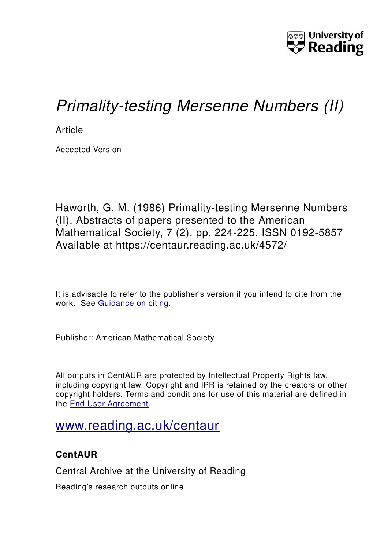

## *Primality-testing Mersenne Numbers (II)*

**Article** 

Accepted Version

Haworth, G. M. (1986) Primality-testing Mersenne Numbers (II). Abstracts of papers presented to the American Mathematical Society, 7 (2). pp. 224-225. ISSN 0192-5857 Available at https://centaur.reading.ac.uk/4572/

It is advisable to refer to the publisher's version if you intend to cite from the work. See [Guidance on citing.](http://centaur.reading.ac.uk/71187/10/CentAUR%20citing%20guide.pdf)

Publisher: American Mathematical Society

All outputs in CentAUR are protected by Intellectual Property Rights law, including copyright law. Copyright and IPR is retained by the creators or other copyright holders. Terms and conditions for use of this material are defined in the [End User Agreement.](http://centaur.reading.ac.uk/licence)

## [www.reading.ac.uk/centaur](http://www.reading.ac.uk/centaur)

## **CentAUR**

Central Archive at the University of Reading

Reading's research outputs online